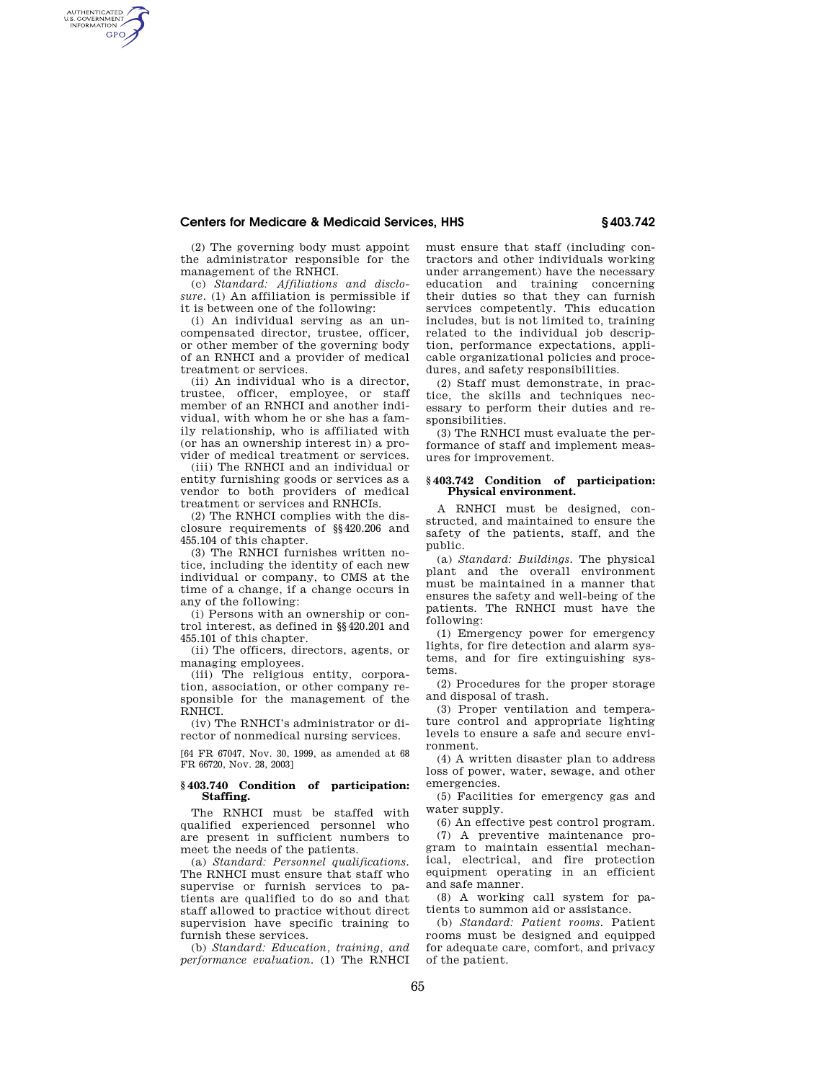## **Centers for Medicare & Medicaid Services, HHS § 403.742**

(2) The governing body must appoint the administrator responsible for the management of the RNHCI.

AUTHENTICATED<br>U.S. GOVERNMENT<br>INFORMATION **GPO** 

> (c) *Standard: Affiliations and disclosure.* (1) An affiliation is permissible if it is between one of the following:

> (i) An individual serving as an uncompensated director, trustee, officer, or other member of the governing body of an RNHCI and a provider of medical treatment or services.

> (ii) An individual who is a director, trustee, officer, employee, or staff member of an RNHCI and another individual, with whom he or she has a family relationship, who is affiliated with (or has an ownership interest in) a provider of medical treatment or services.

> (iii) The RNHCI and an individual or entity furnishing goods or services as a vendor to both providers of medical treatment or services and RNHCIs.

> (2) The RNHCI complies with the disclosure requirements of §§420.206 and 455.104 of this chapter.

> (3) The RNHCI furnishes written notice, including the identity of each new individual or company, to CMS at the time of a change, if a change occurs in any of the following:

> (i) Persons with an ownership or control interest, as defined in §§420.201 and 455.101 of this chapter.

> (ii) The officers, directors, agents, or managing employees.

> (iii) The religious entity, corporation, association, or other company responsible for the management of the RNHCI.

(iv) The RNHCI's administrator or director of nonmedical nursing services.

[64 FR 67047, Nov. 30, 1999, as amended at 68 FR 66720, Nov. 28, 2003]

### **§ 403.740 Condition of participation: Staffing.**

The RNHCI must be staffed with qualified experienced personnel who are present in sufficient numbers to meet the needs of the patients.

(a) *Standard: Personnel qualifications.*  The RNHCI must ensure that staff who supervise or furnish services to patients are qualified to do so and that staff allowed to practice without direct supervision have specific training to furnish these services.

(b) *Standard: Education, training, and performance evaluation.* (1) The RNHCI must ensure that staff (including contractors and other individuals working under arrangement) have the necessary education and training concerning their duties so that they can furnish services competently. This education includes, but is not limited to, training related to the individual job description, performance expectations, applicable organizational policies and procedures, and safety responsibilities.

(2) Staff must demonstrate, in practice, the skills and techniques necessary to perform their duties and responsibilities.

(3) The RNHCI must evaluate the performance of staff and implement measures for improvement.

### **§ 403.742 Condition of participation: Physical environment.**

A RNHCI must be designed, constructed, and maintained to ensure the safety of the patients, staff, and the public.

(a) *Standard: Buildings.* The physical plant and the overall environment must be maintained in a manner that ensures the safety and well-being of the patients. The RNHCI must have the following:

(1) Emergency power for emergency lights, for fire detection and alarm systems, and for fire extinguishing systems.

(2) Procedures for the proper storage and disposal of trash.

(3) Proper ventilation and temperature control and appropriate lighting levels to ensure a safe and secure environment.

(4) A written disaster plan to address loss of power, water, sewage, and other emergencies.

(5) Facilities for emergency gas and water supply.

(6) An effective pest control program.

(7) A preventive maintenance program to maintain essential mechanical, electrical, and fire protection equipment operating in an efficient and safe manner.

(8) A working call system for patients to summon aid or assistance.

(b) *Standard: Patient rooms.* Patient rooms must be designed and equipped for adequate care, comfort, and privacy of the patient.